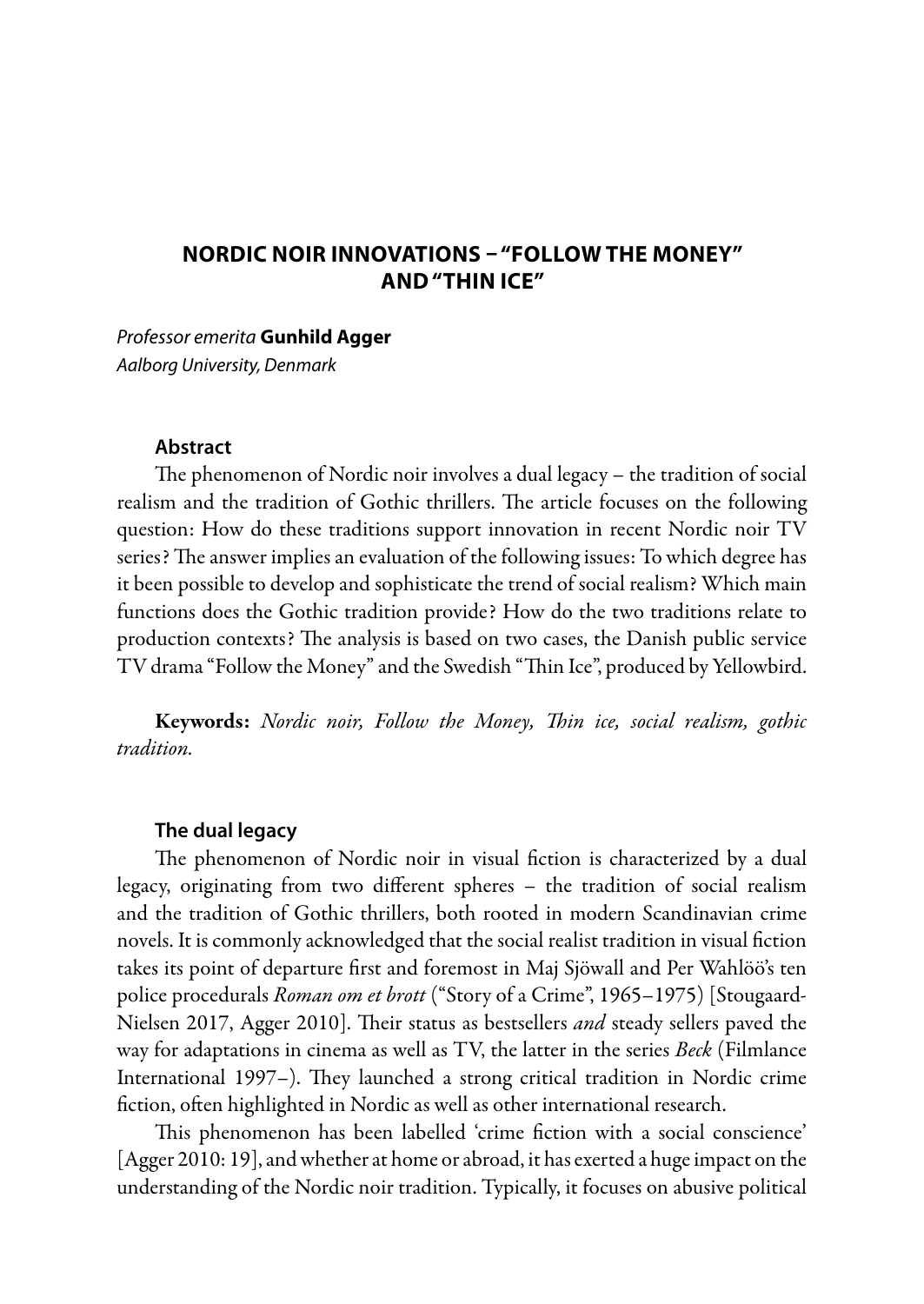# **NORDIC NOIR INNOVATIONS – "FOLLOW THE MONEY" AND "THIN ICE"**

*Professor emerita* **Gunhild Agger** *Aalborg University, Denmark*

### **Abstract**

The phenomenon of Nordic noir involves a dual legacy – the tradition of social realism and the tradition of Gothic thrillers. The article focuses on the following question: How do these traditions support innovation in recent Nordic noir TV series? The answer implies an evaluation of the following issues: To which degree has it been possible to develop and sophisticate the trend of social realism? Which main functions does the Gothic tradition provide? How do the two traditions relate to production contexts? The analysis is based on two cases, the Danish public service TV drama "Follow the Money" and the Swedish "Thin Ice", produced by Yellowbird.

Keywords: *Nordic noir, Follow the Money, Thin ice, social realism, gothic tradition.*

#### **The dual legacy**

The phenomenon of Nordic noir in visual fiction is characterized by a dual legacy, originating from two different spheres – the tradition of social realism and the tradition of Gothic thrillers, both rooted in modern Scandinavian crime novels. It is commonly acknowledged that the social realist tradition in visual fiction takes its point of departure first and foremost in Maj Sjöwall and Per Wahlöö's ten police procedurals *Roman om et brott* ("Story of a Crime", 1965–1975) [Stougaard-Nielsen 2017, Agger 2010]. Their status as bestsellers *and* steady sellers paved the way for adaptations in cinema as well as TV, the latter in the series *Beck* (Filmlance International 1997–). They launched a strong critical tradition in Nordic crime fiction, often highlighted in Nordic as well as other international research.

This phenomenon has been labelled 'crime fiction with a social conscience' [Agger 2010: 19], and whether at home or abroad, it has exerted a huge impact on the understanding of the Nordic noir tradition. Typically, it focuses on abusive political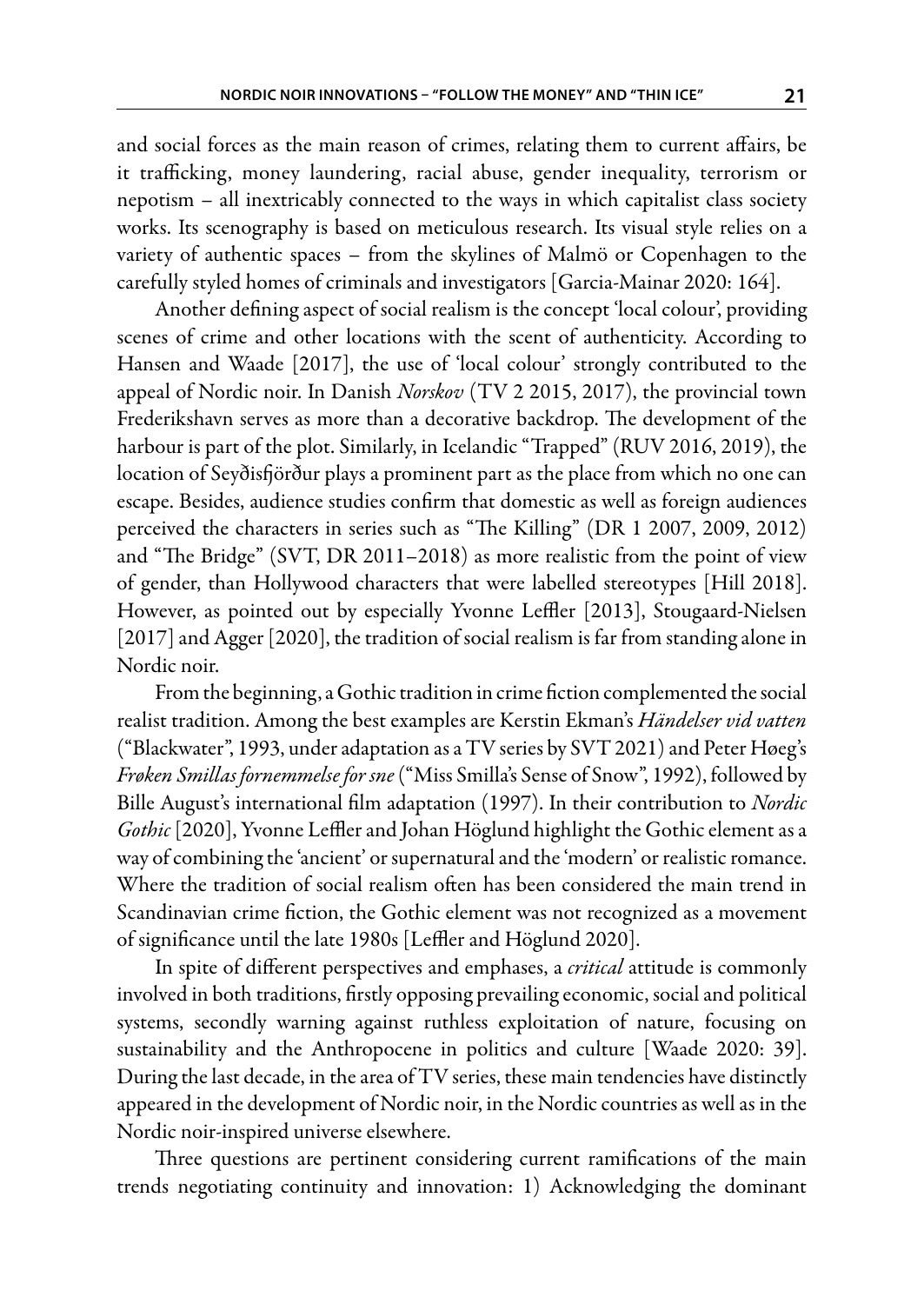and social forces as the main reason of crimes, relating them to current affairs, be it trafficking, money laundering, racial abuse, gender inequality, terrorism or nepotism – all inextricably connected to the ways in which capitalist class society works. Its scenography is based on meticulous research. Its visual style relies on a variety of authentic spaces – from the skylines of Malmö or Copenhagen to the carefully styled homes of criminals and investigators [Garcia-Mainar 2020: 164].

Another defining aspect of social realism is the concept 'local colour', providing scenes of crime and other locations with the scent of authenticity. According to Hansen and Waade [2017], the use of 'local colour' strongly contributed to the appeal of Nordic noir. In Danish *Norskov* (TV 2 2015, 2017), the provincial town Frederikshavn serves as more than a decorative backdrop. The development of the harbour is part of the plot. Similarly, in Icelandic "Trapped" (RUV 2016, 2019), the location of Seyðisfjörður plays a prominent part as the place from which no one can escape. Besides, audience studies confirm that domestic as well as foreign audiences perceived the characters in series such as "The Killing" (DR 1 2007, 2009, 2012) and "The Bridge" (SVT, DR 2011–2018) as more realistic from the point of view of gender, than Hollywood characters that were labelled stereotypes [Hill 2018]. However, as pointed out by especially Yvonne Leffler [2013], Stougaard-Nielsen [2017] and Agger [2020], the tradition of social realism is far from standing alone in Nordic noir.

From the beginning, a Gothic tradition in crime fiction complemented the social realist tradition. Among the best examples are Kerstin Ekman's *Händelser vid vatten*  ("Blackwater", 1993, under adaptation as a TV series by SVT 2021) and Peter Høeg's *Frøken Smillas fornemmelse for sne* ("Miss Smilla's Sense of Snow", 1992), followed by Bille August's international film adaptation (1997). In their contribution to *Nordic Gothic* [2020], Yvonne Leffler and Johan Höglund highlight the Gothic element as a way of combining the 'ancient' or supernatural and the 'modern' or realistic romance. Where the tradition of social realism often has been considered the main trend in Scandinavian crime fiction, the Gothic element was not recognized as a movement of significance until the late 1980s [Leffler and Höglund 2020].

In spite of different perspectives and emphases, a *critical* attitude is commonly involved in both traditions, firstly opposing prevailing economic, social and political systems, secondly warning against ruthless exploitation of nature, focusing on sustainability and the Anthropocene in politics and culture [Waade 2020: 39]. During the last decade, in the area of TV series, these main tendencies have distinctly appeared in the development of Nordic noir, in the Nordic countries as well as in the Nordic noir-inspired universe elsewhere.

Three questions are pertinent considering current ramifications of the main trends negotiating continuity and innovation: 1) Acknowledging the dominant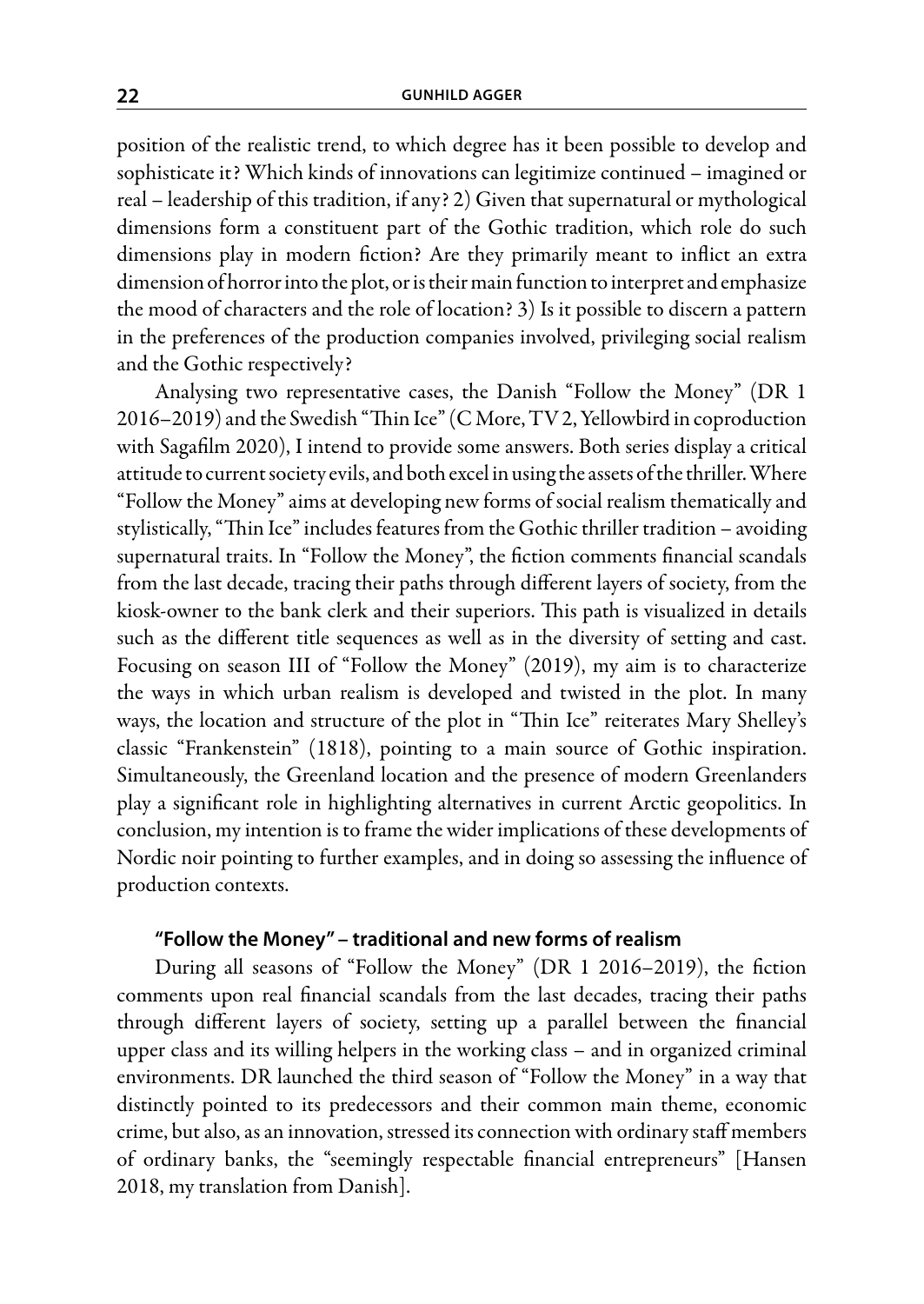position of the realistic trend, to which degree has it been possible to develop and sophisticate it? Which kinds of innovations can legitimize continued – imagined or real – leadership of this tradition, if any? 2) Given that supernatural or mythological dimensions form a constituent part of the Gothic tradition, which role do such dimensions play in modern fiction? Are they primarily meant to inflict an extra dimension of horror into the plot, or is their main function to interpret and emphasize the mood of characters and the role of location? 3) Is it possible to discern a pattern in the preferences of the production companies involved, privileging social realism and the Gothic respectively?

Analysing two representative cases, the Danish "Follow the Money" (DR 1 2016–2019) and the Swedish "Thin Ice" (C More, TV 2, Yellowbird in coproduction with Sagafilm 2020), I intend to provide some answers. Both series display a critical attitude to current society evils, and both excel in using the assets of the thriller. Where "Follow the Money" aims at developing new forms of social realism thematically and stylistically, "Thin Ice" includes features from the Gothic thriller tradition – avoiding supernatural traits. In "Follow the Money", the fiction comments financial scandals from the last decade, tracing their paths through different layers of society, from the kiosk-owner to the bank clerk and their superiors. This path is visualized in details such as the different title sequences as well as in the diversity of setting and cast. Focusing on season III of "Follow the Money" (2019), my aim is to characterize the ways in which urban realism is developed and twisted in the plot. In many ways, the location and structure of the plot in "Thin Ice" reiterates Mary Shelley's classic "Frankenstein" (1818), pointing to a main source of Gothic inspiration. Simultaneously, the Greenland location and the presence of modern Greenlanders play a significant role in highlighting alternatives in current Arctic geopolitics. In conclusion, my intention is to frame the wider implications of these developments of Nordic noir pointing to further examples, and in doing so assessing the influence of production contexts.

### **"Follow the Money" – traditional and new forms of realism**

During all seasons of "Follow the Money" (DR 1 2016–2019), the fiction comments upon real financial scandals from the last decades, tracing their paths through different layers of society, setting up a parallel between the financial upper class and its willing helpers in the working class – and in organized criminal environments. DR launched the third season of "Follow the Money" in a way that distinctly pointed to its predecessors and their common main theme, economic crime, but also, as an innovation, stressed its connection with ordinary staff members of ordinary banks, the "seemingly respectable financial entrepreneurs" [Hansen 2018, my translation from Danish].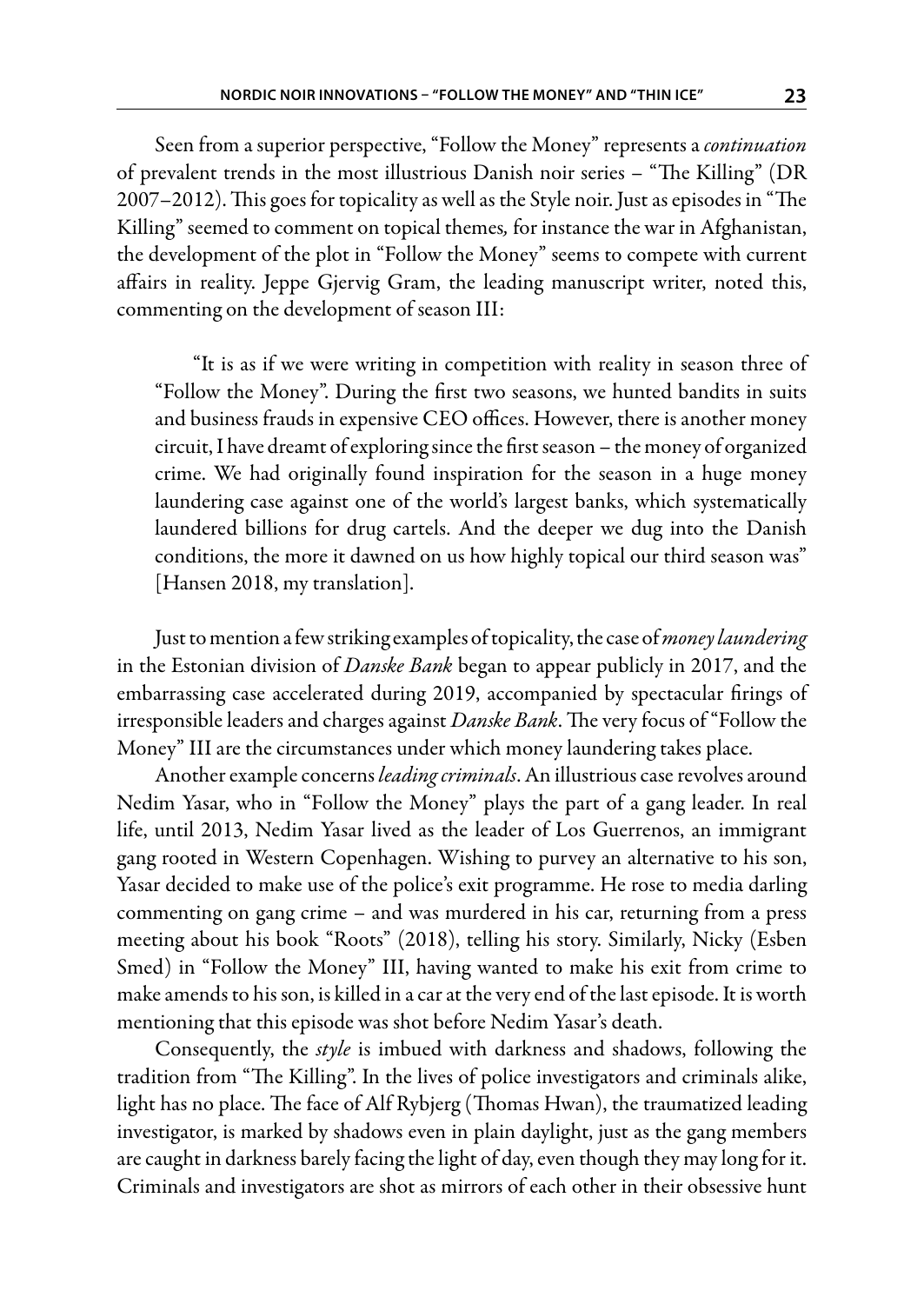Seen from a superior perspective, "Follow the Money" represents a *continuation* of prevalent trends in the most illustrious Danish noir series – "The Killing" (DR 2007–2012). This goes for topicality as well as the Style noir. Just as episodes in "The Killing" seemed to comment on topical themes, for instance the war in Afghanistan, the development of the plot in "Follow the Money" seems to compete with current affairs in reality. Jeppe Gjervig Gram, the leading manuscript writer, noted this, commenting on the development of season III:

"It is as if we were writing in competition with reality in season three of "Follow the Money". During the first two seasons, we hunted bandits in suits and business frauds in expensive CEO offices. However, there is another money circuit, I have dreamt of exploring since the first season – the money of organized crime. We had originally found inspiration for the season in a huge money laundering case against one of the world's largest banks, which systematically laundered billions for drug cartels. And the deeper we dug into the Danish conditions, the more it dawned on us how highly topical our third season was" [Hansen 2018, my translation].

Just to mention a few striking examples of topicality, the case of *money laundering* in the Estonian division of *Danske Bank* began to appear publicly in 2017, and the embarrassing case accelerated during 2019, accompanied by spectacular firings of irresponsible leaders and charges against *Danske Bank*. The very focus of "Follow the Money" III are the circumstances under which money laundering takes place.

Another example concerns *leading criminals*. An illustrious case revolves around Nedim Yasar, who in "Follow the Money" plays the part of a gang leader. In real life, until 2013, Nedim Yasar lived as the leader of Los Guerrenos, an immigrant gang rooted in Western Copenhagen. Wishing to purvey an alternative to his son, Yasar decided to make use of the police's exit programme. He rose to media darling commenting on gang crime – and was murdered in his car, returning from a press meeting about his book "Roots" (2018), telling his story. Similarly, Nicky (Esben Smed) in "Follow the Money" III, having wanted to make his exit from crime to make amends to his son, is killed in a car at the very end of the last episode. It is worth mentioning that this episode was shot before Nedim Yasar's death.

Consequently, the *style* is imbued with darkness and shadows, following the tradition from "The Killing". In the lives of police investigators and criminals alike, light has no place. The face of Alf Rybjerg (Thomas Hwan), the traumatized leading investigator, is marked by shadows even in plain daylight, just as the gang members are caught in darkness barely facing the light of day, even though they may long for it. Criminals and investigators are shot as mirrors of each other in their obsessive hunt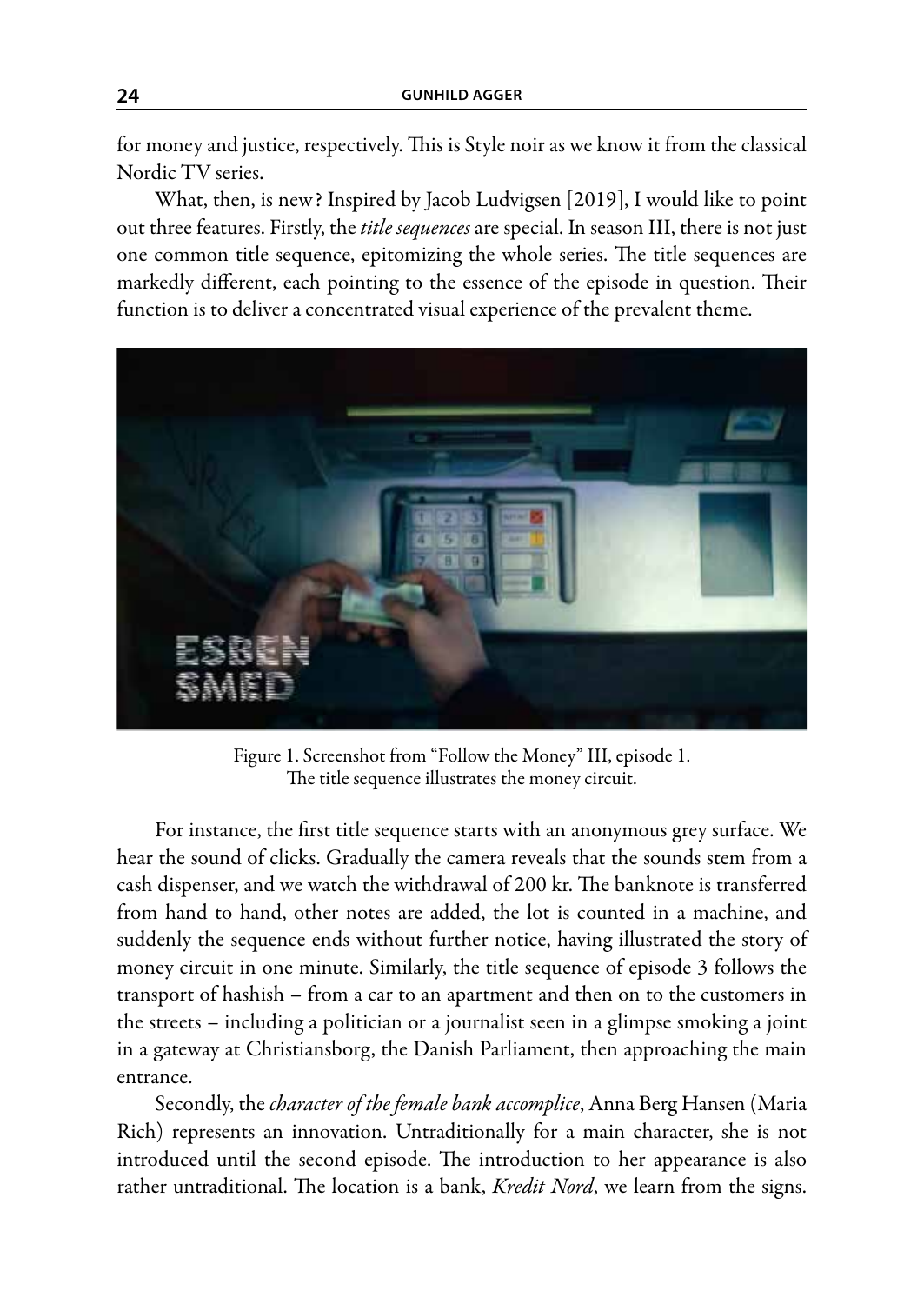for money and justice, respectively. This is Style noir as we know it from the classical Nordic TV series.

What, then, is new? Inspired by Jacob Ludvigsen [2019], I would like to point out three features. Firstly, the *title sequences* are special. In season III, there is not just one common title sequence, epitomizing the whole series. The title sequences are markedly different, each pointing to the essence of the episode in question. Their function is to deliver a concentrated visual experience of the prevalent theme.



Figure 1. Screenshot from "Follow the Money" III, episode 1. The title sequence illustrates the money circuit.

For instance, the first title sequence starts with an anonymous grey surface. We hear the sound of clicks. Gradually the camera reveals that the sounds stem from a cash dispenser, and we watch the withdrawal of 200 kr. The banknote is transferred from hand to hand, other notes are added, the lot is counted in a machine, and suddenly the sequence ends without further notice, having illustrated the story of money circuit in one minute. Similarly, the title sequence of episode 3 follows the transport of hashish – from a car to an apartment and then on to the customers in the streets – including a politician or a journalist seen in a glimpse smoking a joint in a gateway at Christiansborg, the Danish Parliament, then approaching the main entrance.

Secondly, the *character of the female bank accomplice*, Anna Berg Hansen (Maria Rich) represents an innovation. Untraditionally for a main character, she is not introduced until the second episode. The introduction to her appearance is also rather untraditional. The location is a bank, *Kredit Nord*, we learn from the signs.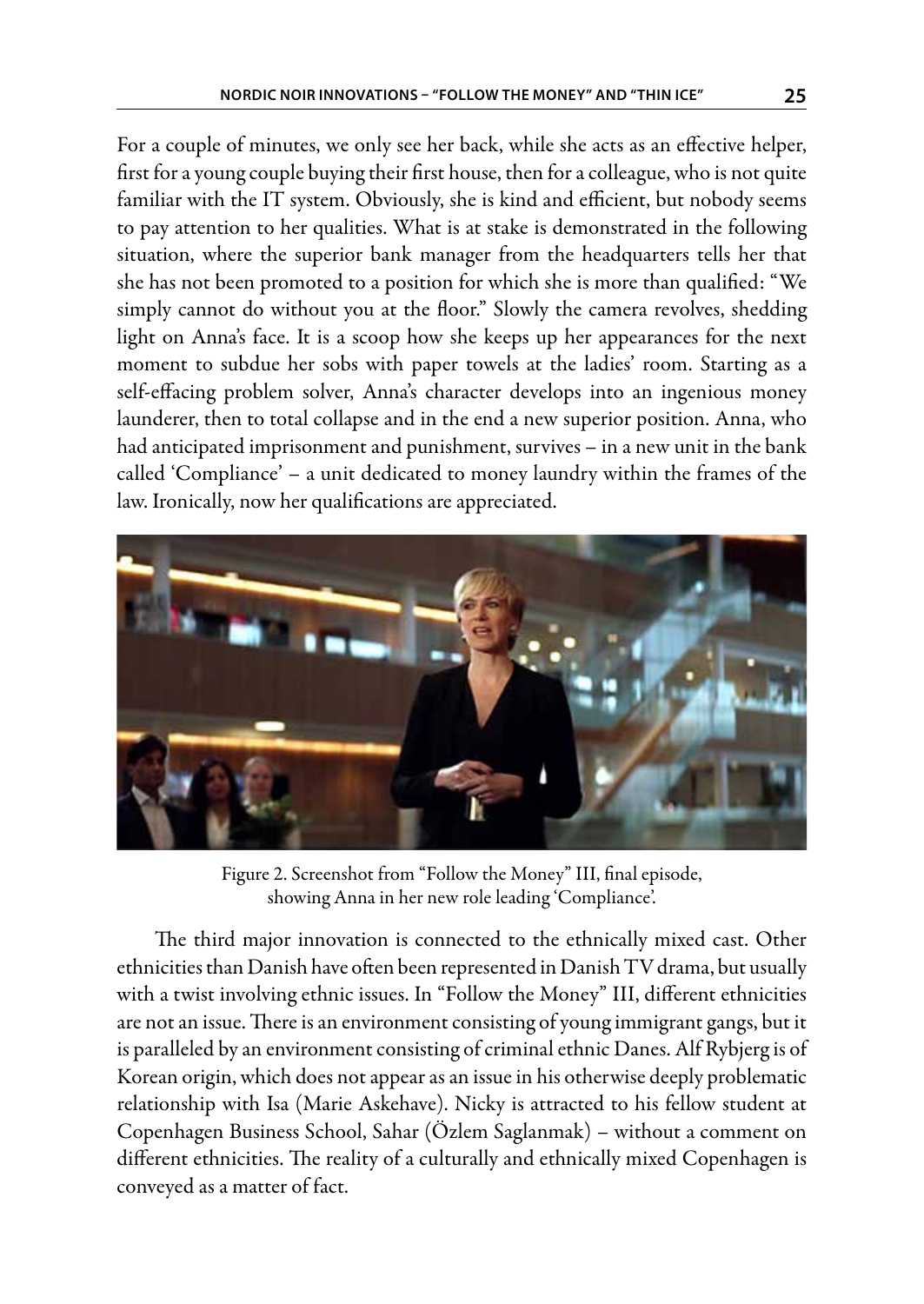For a couple of minutes, we only see her back, while she acts as an effective helper, first for a young couple buying their first house, then for a colleague, who is not quite familiar with the IT system. Obviously, she is kind and efficient, but nobody seems to pay attention to her qualities. What is at stake is demonstrated in the following situation, where the superior bank manager from the headquarters tells her that she has not been promoted to a position for which she is more than qualified: "We simply cannot do without you at the floor." Slowly the camera revolves, shedding light on Anna's face. It is a scoop how she keeps up her appearances for the next moment to subdue her sobs with paper towels at the ladies' room. Starting as a self-effacing problem solver, Anna's character develops into an ingenious money launderer, then to total collapse and in the end a new superior position. Anna, who had anticipated imprisonment and punishment, survives – in a new unit in the bank called 'Compliance' – a unit dedicated to money laundry within the frames of the law. Ironically, now her qualifications are appreciated.



Figure 2. Screenshot from "Follow the Money" III, final episode, showing Anna in her new role leading 'Compliance'.

The third major innovation is connected to the ethnically mixed cast. Other ethnicities than Danish have often been represented in Danish TV drama, but usually with a twist involving ethnic issues. In "Follow the Money" III, different ethnicities are not an issue. There is an environment consisting of young immigrant gangs, but it is paralleled by an environment consisting of criminal ethnic Danes. Alf Rybjerg is of Korean origin, which does not appear as an issue in his otherwise deeply problematic relationship with Isa (Marie Askehave). Nicky is attracted to his fellow student at Copenhagen Business School, Sahar (Özlem Saglanmak) – without a comment on different ethnicities. The reality of a culturally and ethnically mixed Copenhagen is conveyed as a matter of fact.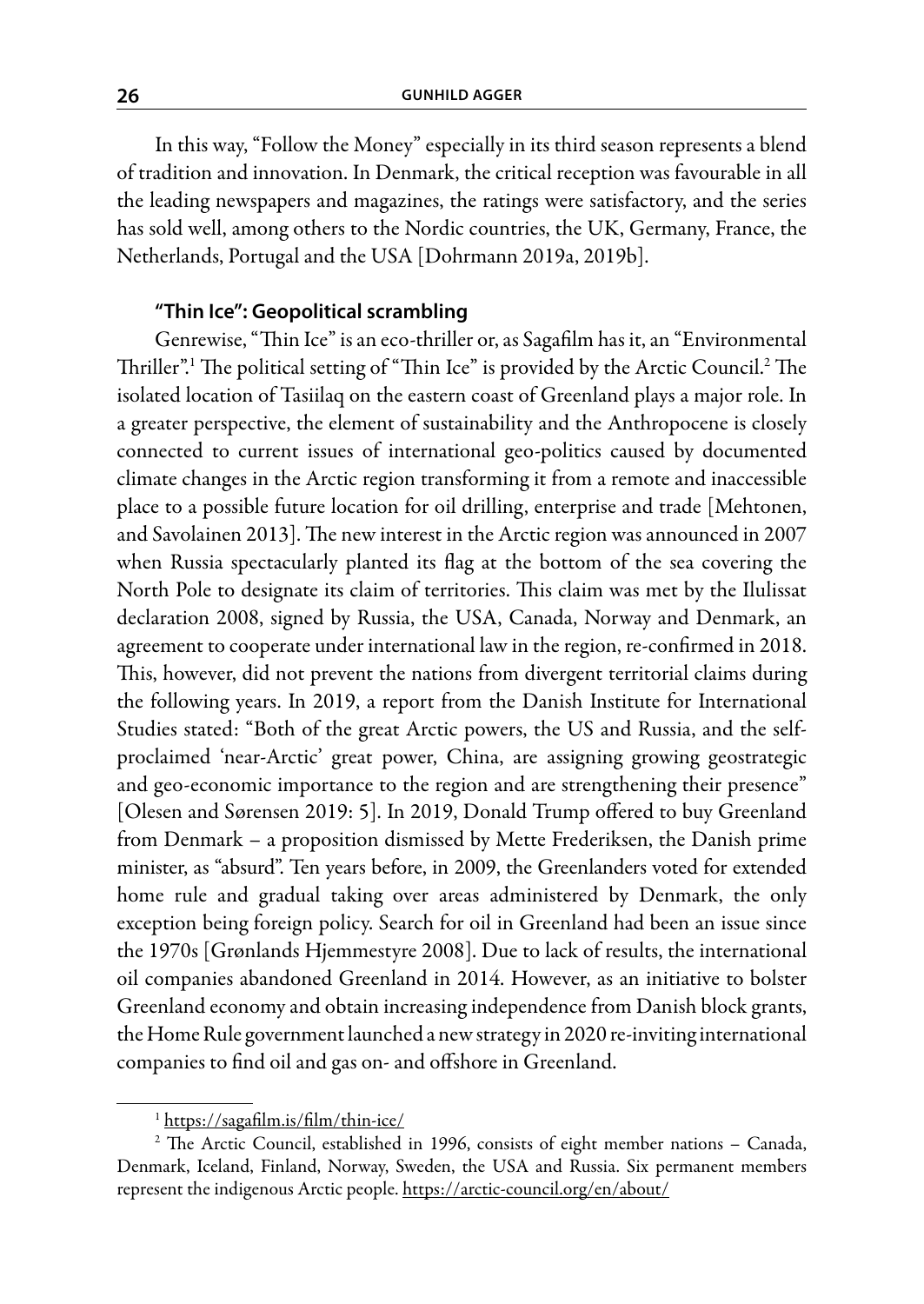In this way, "Follow the Money" especially in its third season represents a blend of tradition and innovation. In Denmark, the critical reception was favourable in all the leading newspapers and magazines, the ratings were satisfactory, and the series has sold well, among others to the Nordic countries, the UK, Germany, France, the Netherlands, Portugal and the USA [Dohrmann 2019a, 2019b].

# **"Thin Ice": Geopolitical scrambling**

Genrewise, "Thin Ice" is an eco-thriller or, as Sagafilm has it, an "Environmental Thriller".<sup>1</sup> The political setting of "Thin Ice" is provided by the Arctic Council.<sup>2</sup> The isolated location of Tasiilaq on the eastern coast of Greenland plays a major role. In a greater perspective, the element of sustainability and the Anthropocene is closely connected to current issues of international geo-politics caused by documented climate changes in the Arctic region transforming it from a remote and inaccessible place to a possible future location for oil drilling, enterprise and trade [Mehtonen, and Savolainen 2013]. The new interest in the Arctic region was announced in 2007 when Russia spectacularly planted its flag at the bottom of the sea covering the North Pole to designate its claim of territories. This claim was met by the Ilulissat declaration 2008, signed by Russia, the USA, Canada, Norway and Denmark, an agreement to cooperate under international law in the region, re-confirmed in 2018. This, however, did not prevent the nations from divergent territorial claims during the following years. In 2019, a report from the Danish Institute for International Studies stated: "Both of the great Arctic powers, the US and Russia, and the selfproclaimed 'near-Arctic' great power, China, are assigning growing geostrategic and geo-economic importance to the region and are strengthening their presence" [Olesen and Sørensen 2019: 5]. In 2019, Donald Trump offered to buy Greenland from Denmark – a proposition dismissed by Mette Frederiksen, the Danish prime minister, as "absurd". Ten years before, in 2009, the Greenlanders voted for extended home rule and gradual taking over areas administered by Denmark, the only exception being foreign policy. Search for oil in Greenland had been an issue since the 1970s [Grønlands Hjemmestyre 2008]. Due to lack of results, the international oil companies abandoned Greenland in 2014. However, as an initiative to bolster Greenland economy and obtain increasing independence from Danish block grants, the Home Rule government launched a new strategy in 2020 re-inviting international companies to find oil and gas on- and offshore in Greenland.

<sup>1</sup> https://sagafilm.is/film/thin-ice/

<sup>&</sup>lt;sup>2</sup> The Arctic Council, established in 1996, consists of eight member nations - Canada, Denmark, Iceland, Finland, Norway, Sweden, the USA and Russia. Six permanent members represent the indigenous Arctic people. https://arctic-council.org/en/about/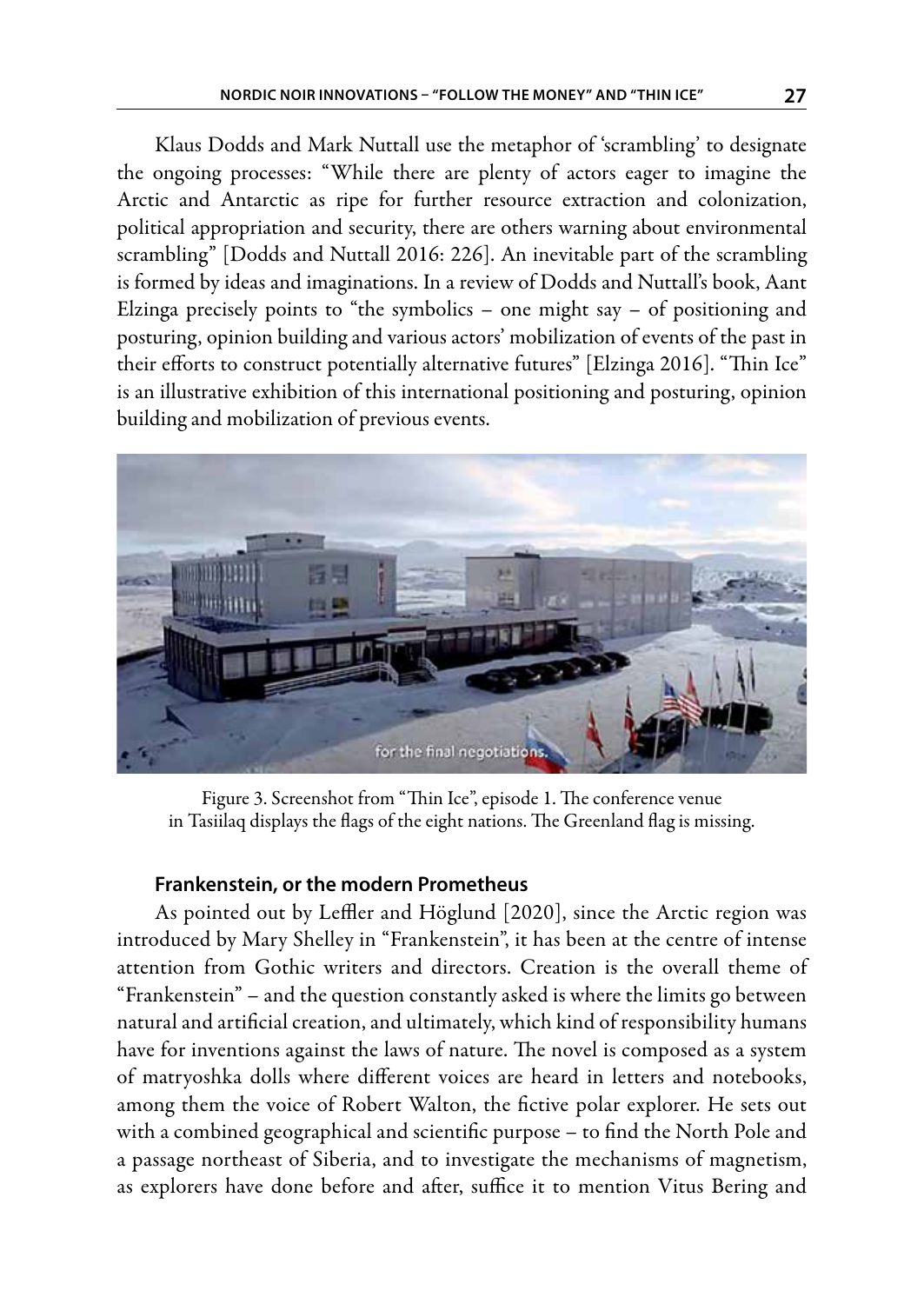Klaus Dodds and Mark Nuttall use the metaphor of 'scrambling' to designate the ongoing processes: "While there are plenty of actors eager to imagine the Arctic and Antarctic as ripe for further resource extraction and colonization, political appropriation and security, there are others warning about environmental scrambling" [Dodds and Nuttall 2016: 226]. An inevitable part of the scrambling is formed by ideas and imaginations. In a review of Dodds and Nuttall's book, Aant Elzinga precisely points to "the symbolics – one might say – of positioning and posturing, opinion building and various actors' mobilization of events of the past in their efforts to construct potentially alternative futures" [Elzinga 2016]. "Thin Ice" is an illustrative exhibition of this international positioning and posturing, opinion building and mobilization of previous events.



Figure 3. Screenshot from "Thin Ice", episode 1. The conference venue in Tasiilaq displays the flags of the eight nations. The Greenland flag is missing.

## **Frankenstein, or the modern Prometheus**

As pointed out by Leffler and Höglund [2020], since the Arctic region was introduced by Mary Shelley in "Frankenstein", it has been at the centre of intense attention from Gothic writers and directors. Creation is the overall theme of "Frankenstein" – and the question constantly asked is where the limits go between natural and artificial creation, and ultimately, which kind of responsibility humans have for inventions against the laws of nature. The novel is composed as a system of matryoshka dolls where different voices are heard in letters and notebooks, among them the voice of Robert Walton, the fictive polar explorer. He sets out with a combined geographical and scientific purpose – to find the North Pole and a passage northeast of Siberia, and to investigate the mechanisms of magnetism, as explorers have done before and after, suffice it to mention Vitus Bering and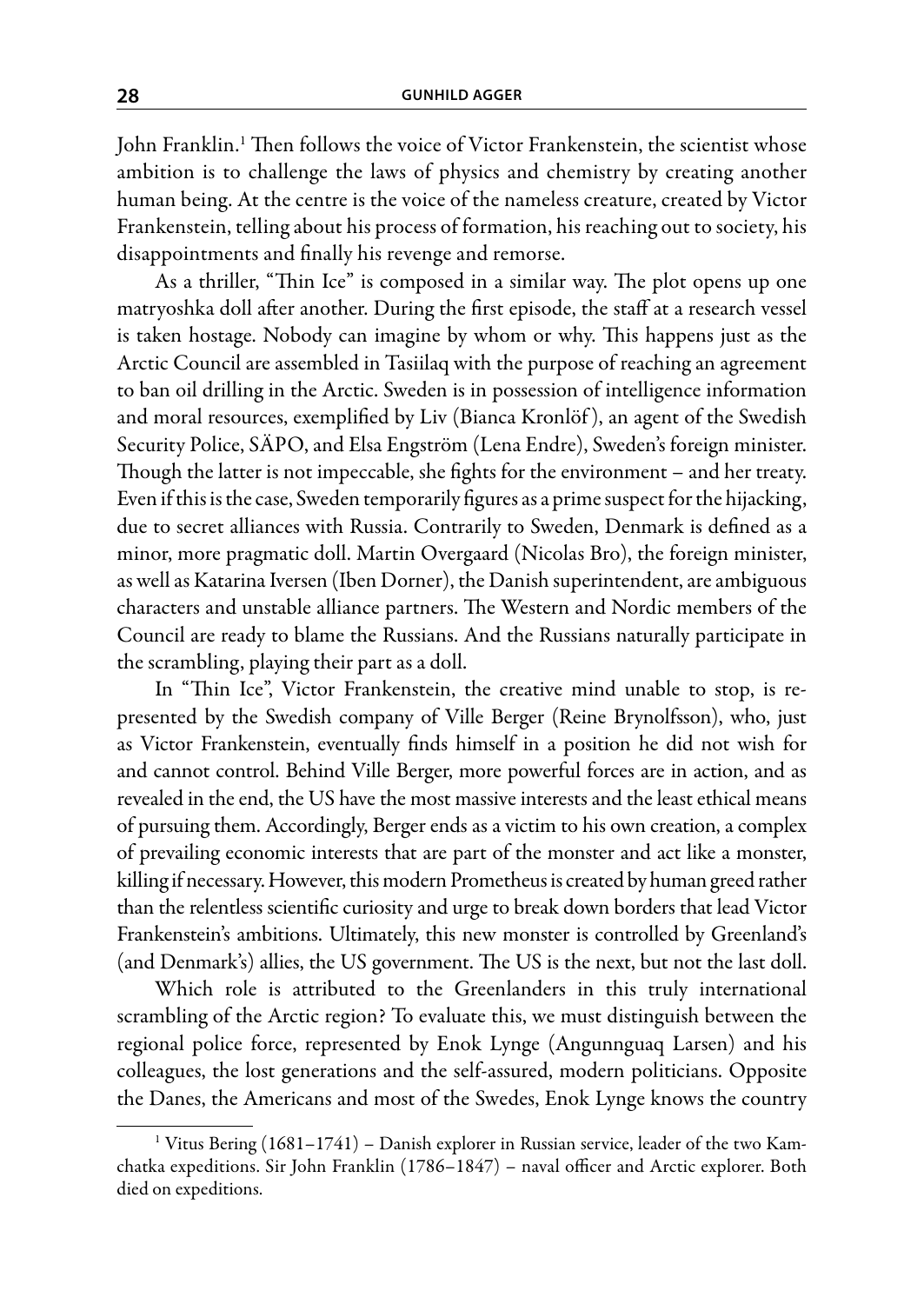John Franklin.1 Then follows the voice of Victor Frankenstein, the scientist whose ambition is to challenge the laws of physics and chemistry by creating another human being. At the centre is the voice of the nameless creature, created by Victor Frankenstein, telling about his process of formation, his reaching out to society, his disappointments and finally his revenge and remorse.

As a thriller, "Thin Ice" is composed in a similar way. The plot opens up one matryoshka doll after another. During the first episode, the staff at a research vessel is taken hostage. Nobody can imagine by whom or why. This happens just as the Arctic Council are assembled in Tasiilaq with the purpose of reaching an agreement to ban oil drilling in the Arctic. Sweden is in possession of intelligence information and moral resources, exemplified by Liv (Bianca Kronlöf ), an agent of the Swedish Security Police, SÄPO, and Elsa Engström (Lena Endre), Sweden's foreign minister. Though the latter is not impeccable, she fights for the environment – and her treaty. Even if this is the case, Sweden temporarily figures as a prime suspect for the hijacking, due to secret alliances with Russia. Contrarily to Sweden, Denmark is defined as a minor, more pragmatic doll. Martin Overgaard (Nicolas Bro), the foreign minister, as well as Katarina Iversen (Iben Dorner), the Danish superintendent, are ambiguous characters and unstable alliance partners. The Western and Nordic members of the Council are ready to blame the Russians. And the Russians naturally participate in the scrambling, playing their part as a doll.

In "Thin Ice", Victor Frankenstein, the creative mind unable to stop, is represented by the Swedish company of Ville Berger (Reine Brynolfsson), who, just as Victor Frankenstein, eventually finds himself in a position he did not wish for and cannot control. Behind Ville Berger, more powerful forces are in action, and as revealed in the end, the US have the most massive interests and the least ethical means of pursuing them. Accordingly, Berger ends as a victim to his own creation, a complex of prevailing economic interests that are part of the monster and act like a monster, killing if necessary. However, this modern Prometheus is created by human greed rather than the relentless scientific curiosity and urge to break down borders that lead Victor Frankenstein's ambitions. Ultimately, this new monster is controlled by Greenland's (and Denmark's) allies, the US government. The US is the next, but not the last doll.

Which role is attributed to the Greenlanders in this truly international scrambling of the Arctic region? To evaluate this, we must distinguish between the regional police force, represented by Enok Lynge (Angunnguaq Larsen) and his colleagues, the lost generations and the self-assured, modern politicians. Opposite the Danes, the Americans and most of the Swedes, Enok Lynge knows the country

<sup>&</sup>lt;sup>1</sup> Vitus Bering (1681–1741) – Danish explorer in Russian service, leader of the two Kamchatka expeditions. Sir John Franklin (1786–1847) – naval officer and Arctic explorer. Both died on expeditions.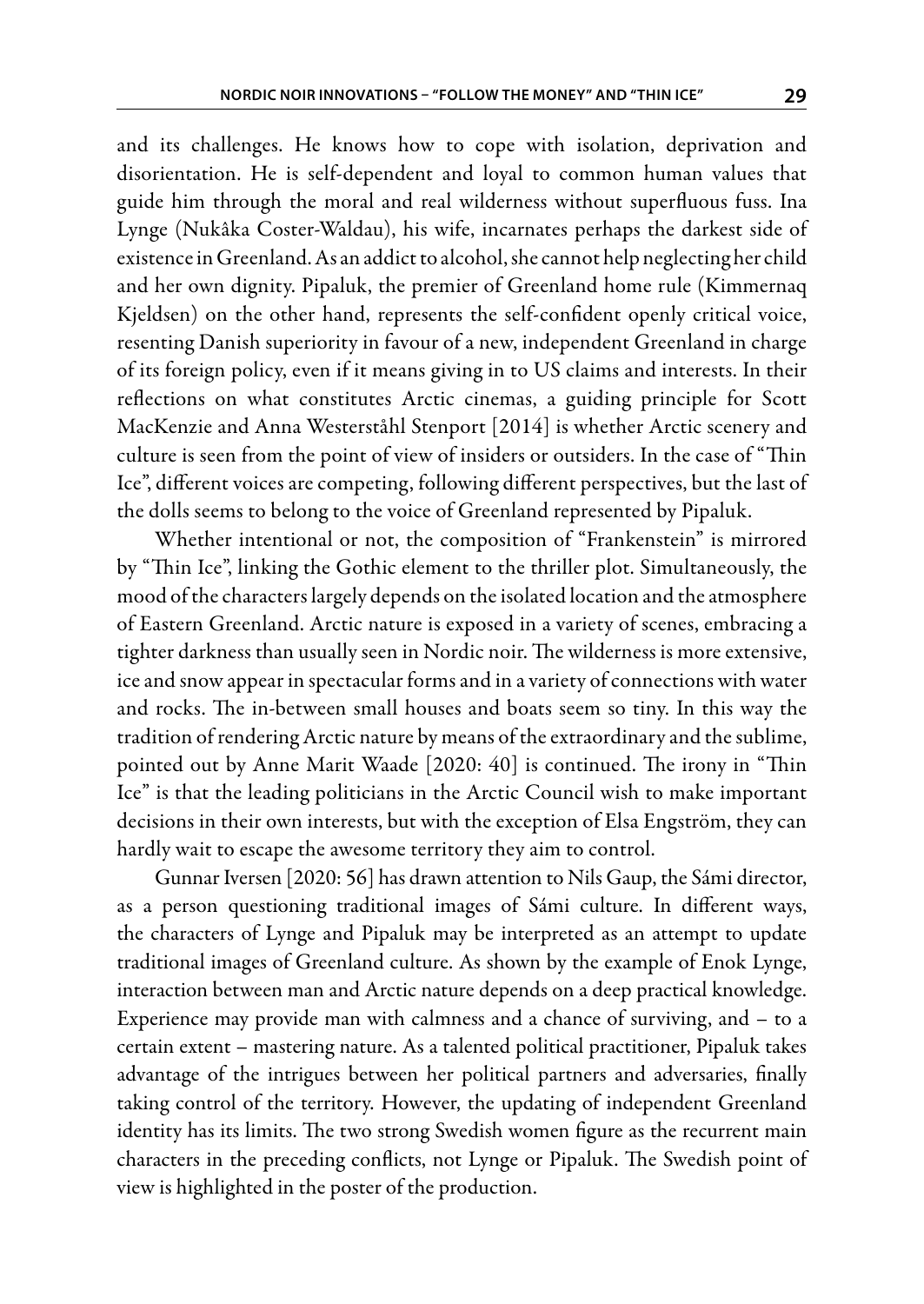and its challenges. He knows how to cope with isolation, deprivation and disorientation. He is self-dependent and loyal to common human values that guide him through the moral and real wilderness without superfluous fuss. Ina Lynge (Nukâka Coster-Waldau), his wife, incarnates perhaps the darkest side of existence in Greenland. As an addict to alcohol, she cannot help neglecting her child and her own dignity. Pipaluk, the premier of Greenland home rule (Kimmernaq Kjeldsen) on the other hand, represents the self-confident openly critical voice, resenting Danish superiority in favour of a new, independent Greenland in charge of its foreign policy, even if it means giving in to US claims and interests. In their reflections on what constitutes Arctic cinemas, a guiding principle for Scott MacKenzie and Anna Westerståhl Stenport [2014] is whether Arctic scenery and culture is seen from the point of view of insiders or outsiders. In the case of "Thin Ice", different voices are competing, following different perspectives, but the last of the dolls seems to belong to the voice of Greenland represented by Pipaluk.

Whether intentional or not, the composition of "Frankenstein" is mirrored by "Thin Ice", linking the Gothic element to the thriller plot. Simultaneously, the mood of the characters largely depends on the isolated location and the atmosphere of Eastern Greenland. Arctic nature is exposed in a variety of scenes, embracing a tighter darkness than usually seen in Nordic noir. The wilderness is more extensive, ice and snow appear in spectacular forms and in a variety of connections with water and rocks. The in-between small houses and boats seem so tiny. In this way the tradition of rendering Arctic nature by means of the extraordinary and the sublime, pointed out by Anne Marit Waade [2020: 40] is continued. The irony in "Thin Ice" is that the leading politicians in the Arctic Council wish to make important decisions in their own interests, but with the exception of Elsa Engström, they can hardly wait to escape the awesome territory they aim to control.

Gunnar Iversen [2020: 56] has drawn attention to Nils Gaup, the Sámi director, as a person questioning traditional images of Sámi culture. In different ways, the characters of Lynge and Pipaluk may be interpreted as an attempt to update traditional images of Greenland culture. As shown by the example of Enok Lynge, interaction between man and Arctic nature depends on a deep practical knowledge. Experience may provide man with calmness and a chance of surviving, and – to a certain extent – mastering nature. As a talented political practitioner, Pipaluk takes advantage of the intrigues between her political partners and adversaries, finally taking control of the territory. However, the updating of independent Greenland identity has its limits. The two strong Swedish women figure as the recurrent main characters in the preceding conflicts, not Lynge or Pipaluk. The Swedish point of view is highlighted in the poster of the production.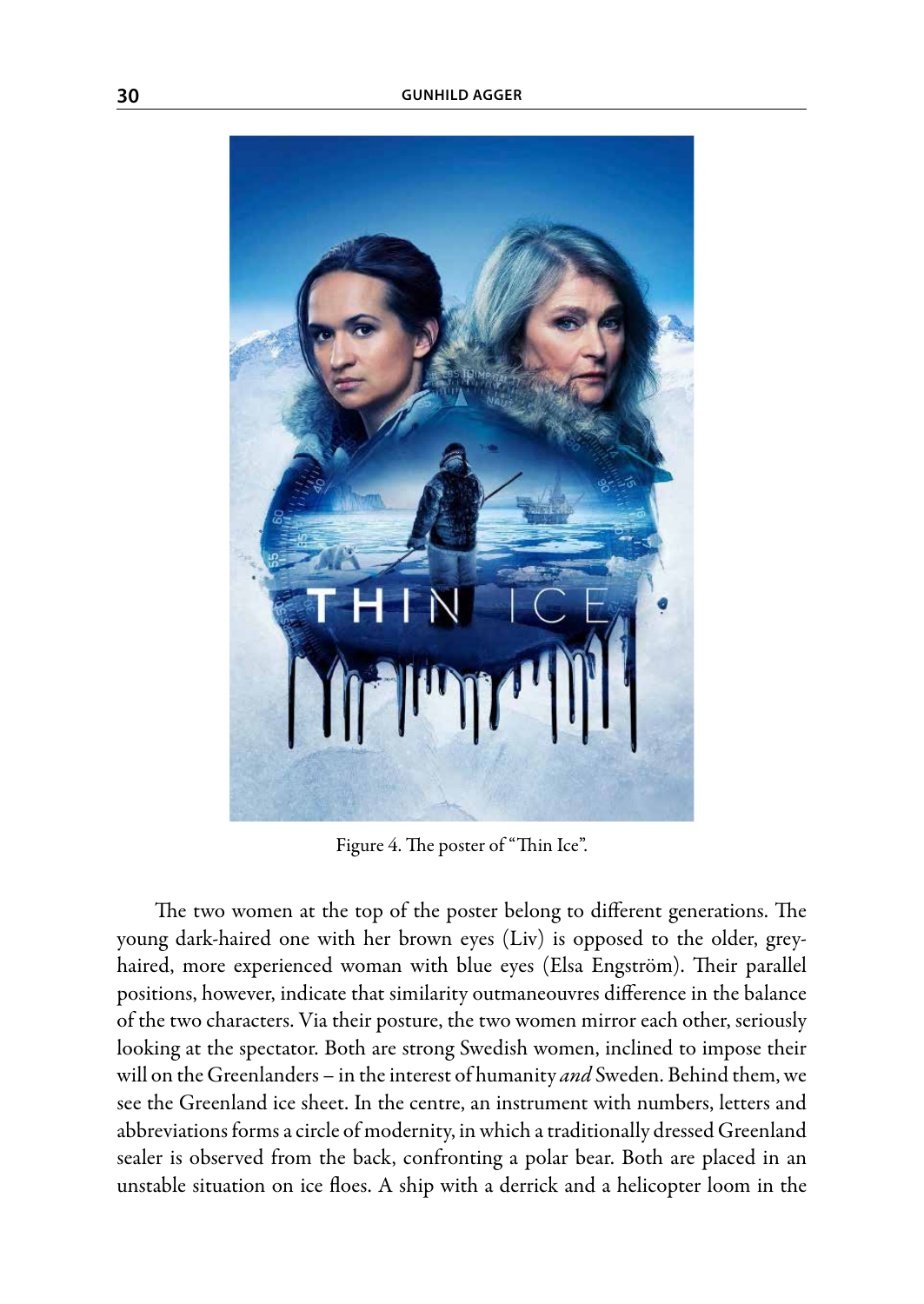

Figure 4. The poster of "Thin Ice".

The two women at the top of the poster belong to different generations. The young dark-haired one with her brown eyes (Liv) is opposed to the older, greyhaired, more experienced woman with blue eyes (Elsa Engström). Their parallel positions, however, indicate that similarity outmaneouvres difference in the balance of the two characters. Via their posture, the two women mirror each other, seriously looking at the spectator. Both are strong Swedish women, inclined to impose their will on the Greenlanders – in the interest of humanity *and* Sweden. Behind them, we see the Greenland ice sheet. In the centre, an instrument with numbers, letters and abbreviations forms a circle of modernity, in which a traditionally dressed Greenland sealer is observed from the back, confronting a polar bear. Both are placed in an unstable situation on ice floes. A ship with a derrick and a helicopter loom in the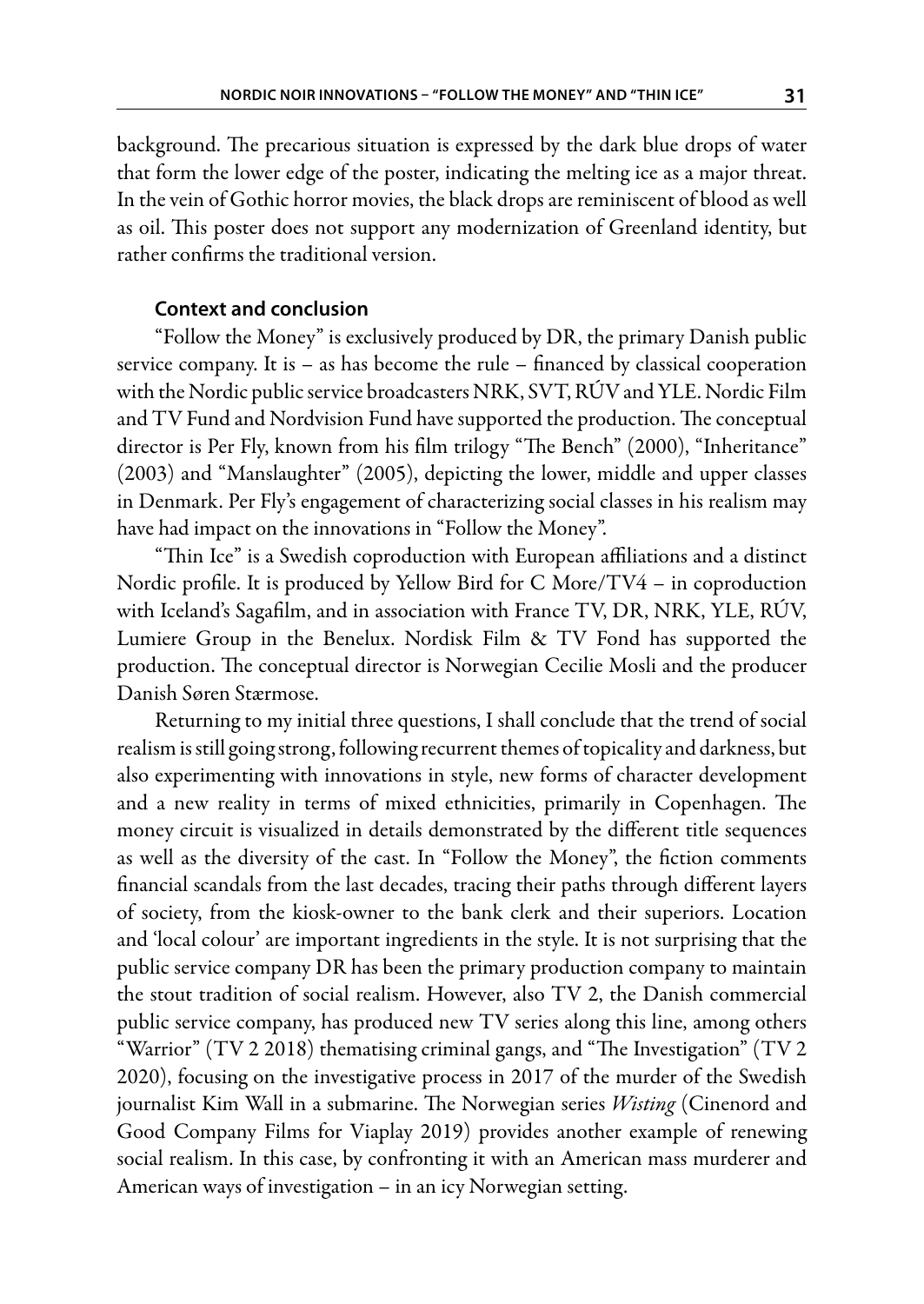background. The precarious situation is expressed by the dark blue drops of water that form the lower edge of the poster, indicating the melting ice as a major threat. In the vein of Gothic horror movies, the black drops are reminiscent of blood as well as oil. This poster does not support any modernization of Greenland identity, but rather confirms the traditional version.

## **Context and conclusion**

"Follow the Money" is exclusively produced by DR, the primary Danish public service company. It is – as has become the rule – financed by classical cooperation with the Nordic public service broadcasters NRK, SVT, RÚV and YLE. Nordic Film and TV Fund and Nordvision Fund have supported the production. The conceptual director is Per Fly, known from his film trilogy "The Bench" (2000), "Inheritance" (2003) and "Manslaughter" (2005), depicting the lower, middle and upper classes in Denmark. Per Fly's engagement of characterizing social classes in his realism may have had impact on the innovations in "Follow the Money".

"Thin Ice" is a Swedish coproduction with European affiliations and a distinct Nordic profile. It is produced by Yellow Bird for C More/TV4 – in coproduction with Iceland's Sagafilm, and in association with France TV, DR, NRK, YLE, RÚV, Lumiere Group in the Benelux. Nordisk Film & TV Fond has supported the production. The conceptual director is Norwegian Cecilie Mosli and the producer Danish Søren Stærmose.

Returning to my initial three questions, I shall conclude that the trend of social realism is still going strong, following recurrent themes of topicality and darkness, but also experimenting with innovations in style, new forms of character development and a new reality in terms of mixed ethnicities, primarily in Copenhagen. The money circuit is visualized in details demonstrated by the different title sequences as well as the diversity of the cast. In "Follow the Money", the fiction comments financial scandals from the last decades, tracing their paths through different layers of society, from the kiosk-owner to the bank clerk and their superiors. Location and 'local colour' are important ingredients in the style. It is not surprising that the public service company DR has been the primary production company to maintain the stout tradition of social realism. However, also TV 2, the Danish commercial public service company, has produced new TV series along this line, among others "Warrior" (TV 2 2018) thematising criminal gangs, and "The Investigation" (TV 2 2020), focusing on the investigative process in 2017 of the murder of the Swedish journalist Kim Wall in a submarine. The Norwegian series *Wisting* (Cinenord and Good Company Films for Viaplay 2019) provides another example of renewing social realism. In this case, by confronting it with an American mass murderer and American ways of investigation – in an icy Norwegian setting.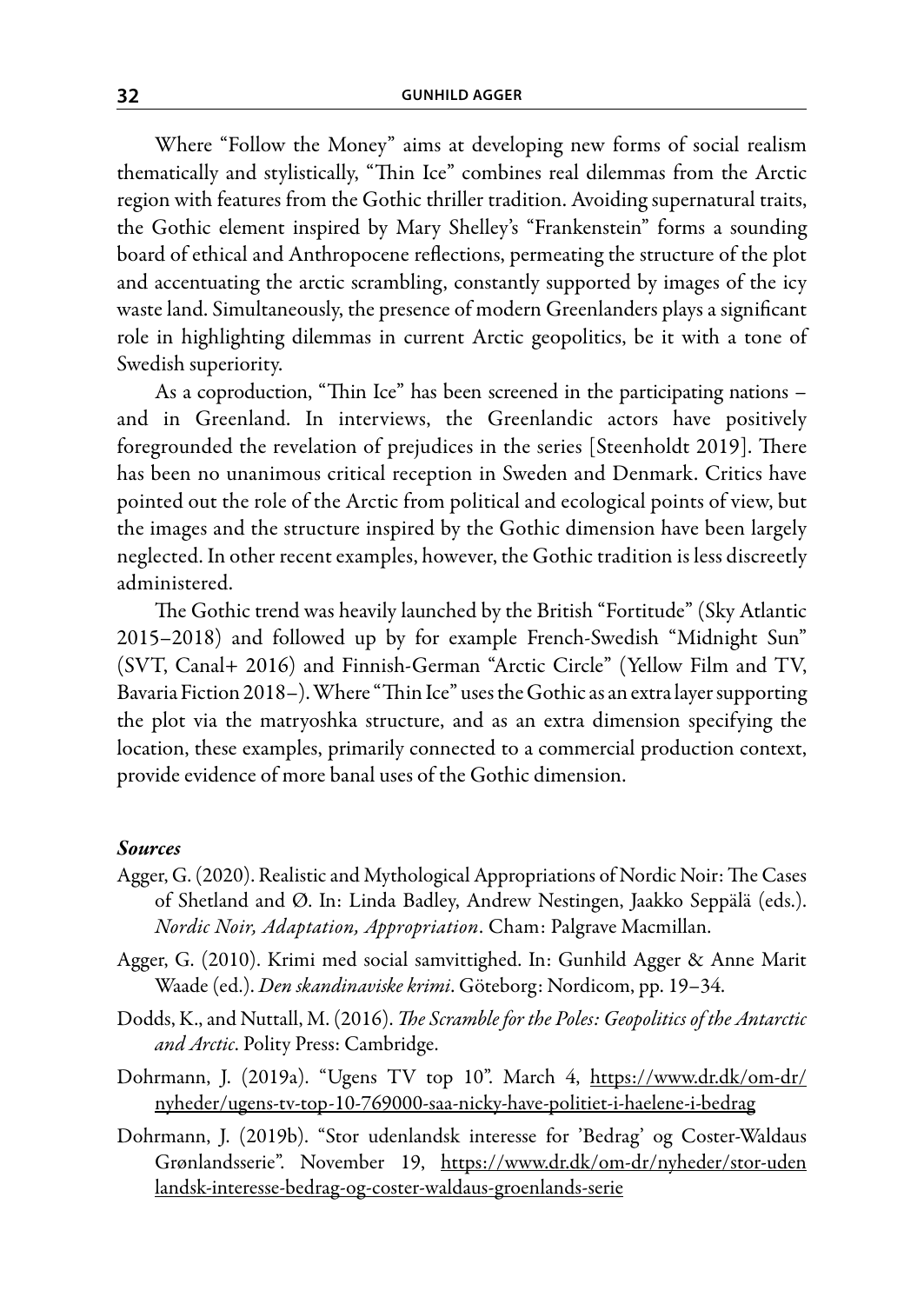Where "Follow the Money" aims at developing new forms of social realism thematically and stylistically, "Thin Ice" combines real dilemmas from the Arctic region with features from the Gothic thriller tradition. Avoiding supernatural traits, the Gothic element inspired by Mary Shelley's "Frankenstein" forms a sounding board of ethical and Anthropocene reflections, permeating the structure of the plot and accentuating the arctic scrambling, constantly supported by images of the icy waste land. Simultaneously, the presence of modern Greenlanders plays a significant role in highlighting dilemmas in current Arctic geopolitics, be it with a tone of Swedish superiority.

As a coproduction, "Thin Ice" has been screened in the participating nations – and in Greenland. In interviews, the Greenlandic actors have positively foregrounded the revelation of prejudices in the series [Steenholdt 2019]. There has been no unanimous critical reception in Sweden and Denmark. Critics have pointed out the role of the Arctic from political and ecological points of view, but the images and the structure inspired by the Gothic dimension have been largely neglected. In other recent examples, however, the Gothic tradition is less discreetly administered.

The Gothic trend was heavily launched by the British "Fortitude" (Sky Atlantic 2015–2018) and followed up by for example French-Swedish "Midnight Sun" (SVT, Canal+ 2016) and Finnish-German "Arctic Circle" (Yellow Film and TV, Bavaria Fiction 2018–). Where "Thin Ice" uses the Gothic as an extra layer supporting the plot via the matryoshka structure, and as an extra dimension specifying the location, these examples, primarily connected to a commercial production context, provide evidence of more banal uses of the Gothic dimension.

#### *Sources*

- Agger, G. (2020). Realistic and Mythological Appropriations of Nordic Noir: The Cases of Shetland and Ø. In: Linda Badley, Andrew Nestingen, Jaakko Seppälä (eds.). *Nordic Noir, Adaptation, Appropriation*. Cham: Palgrave Macmillan.
- Agger, G. (2010). Krimi med social samvittighed. In: Gunhild Agger & Anne Marit Waade (ed.). *Den skandinaviske krimi*. Göteborg: Nordicom, pp. 19–34.
- Dodds, K., and Nuttall, M. (2016). *The Scramble for the Poles: Geopolitics of the Antarctic and Arctic*. Polity Press: Cambridge.
- Dohrmann, J. (2019a). "Ugens TV top 10". March 4, https://www.dr.dk/om-dr/ nyheder/ugens-tv-top-10-769000-saa-nicky-have-politiet-i-haelene-i-bedrag
- Dohrmann, J. (2019b). "Stor udenlandsk interesse for 'Bedrag' og Coster-Waldaus Grønlandsserie". November 19, https://www.dr.dk/om-dr/nyheder/stor-uden landsk-interesse-bedrag-og-coster-waldaus-groenlands-serie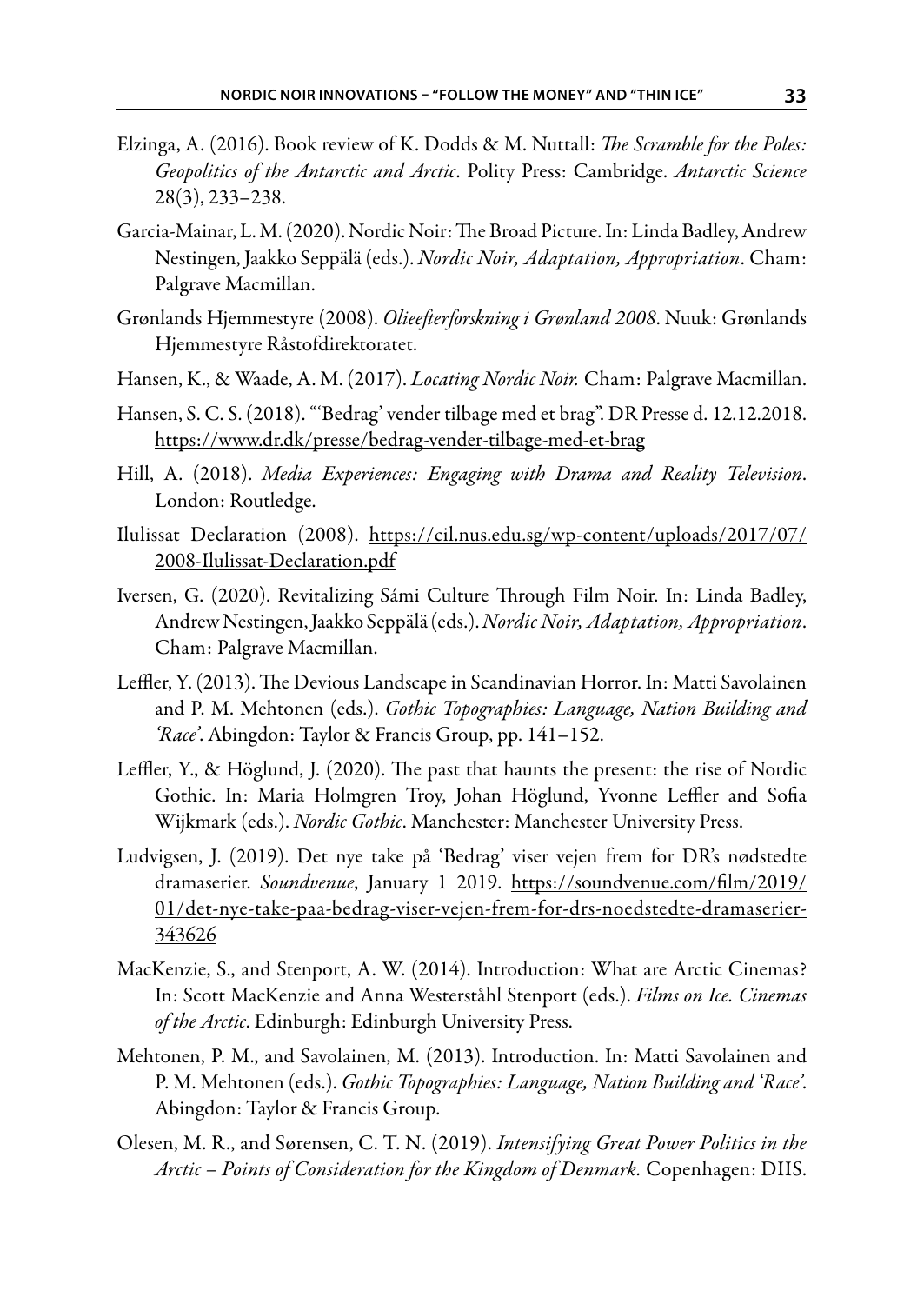- Elzinga, A. (2016). Book review of K. Dodds & M. Nuttall: *The Scramble for the Poles: Geopolitics of the Antarctic and Arctic*. Polity Press: Cambridge. *Antarctic Science* 28(3), 233–238.
- Garcia-Mainar, L. M. (2020). Nordic Noir: The Broad Picture. In: Linda Badley, Andrew Nestingen, Jaakko Seppälä (eds.). *Nordic Noir, Adaptation, Appropriation*. Cham: Palgrave Macmillan.
- Grønlands Hjemmestyre (2008). *Olieefterforskning i Grønland 2008*. Nuuk: Grønlands Hjemmestyre Råstofdirektoratet.
- Hansen, K., & Waade, A. M. (2017). *Locating Nordic Noir.* Cham: Palgrave Macmillan.
- Hansen, S. C. S. (2018). "'Bedrag' vender tilbage med et brag". DR Presse d. 12.12.2018. https://www.dr.dk/presse/bedrag-vender-tilbage-med-et-brag
- Hill, A. (2018). *Media Experiences: Engaging with Drama and Reality Television*. London: Routledge.
- Ilulissat Declaration (2008). https://cil.nus.edu.sg/wp-content/uploads/2017/07/ 2008-Ilulissat-Declaration.pdf
- Iversen, G. (2020). Revitalizing Sámi Culture Through Film Noir. In: Linda Badley, Andrew Nestingen, Jaakko Seppälä (eds.).*Nordic Noir, Adaptation, Appropriation*. Cham: Palgrave Macmillan.
- Leffler, Y. (2013). The Devious Landscape in Scandinavian Horror. In: Matti Savolainen and P. M. Mehtonen (eds.). *Gothic Topographies: Language, Nation Building and 'Race'*. Abingdon: Taylor & Francis Group, pp. 141–152.
- Leffler, Y., & Höglund, J. (2020). The past that haunts the present: the rise of Nordic Gothic. In: Maria Holmgren Troy, Johan Höglund, Yvonne Leffler and Sofia Wijkmark (eds.). *Nordic Gothic*. Manchester: Manchester University Press.
- Ludvigsen, J. (2019). Det nye take på 'Bedrag' viser vejen frem for DR's nødstedte dramaserier. *Soundvenue*, January 1 2019. https://soundvenue.com/film/2019/ 01/det-nye-take-paa-bedrag-viser-vejen-frem-for-drs-noedstedte-dramaserier-343626
- MacKenzie, S., and Stenport, A. W. (2014). Introduction: What are Arctic Cinemas? In: Scott MacKenzie and Anna Westerståhl Stenport (eds.). *Films on Ice. Cinemas of the Arctic*. Edinburgh: Edinburgh University Press.
- Mehtonen, P. M., and Savolainen, M. (2013). Introduction. In: Matti Savolainen and P. M. Mehtonen (eds.). *Gothic Topographies: Language, Nation Building and 'Race'*. Abingdon: Taylor & Francis Group.
- Olesen, M. R., and Sørensen, C. T. N. (2019). *Intensifying Great Power Politics in the Arctic – Points of Consideration for the Kingdom of Denmark.* Copenhagen: DIIS.